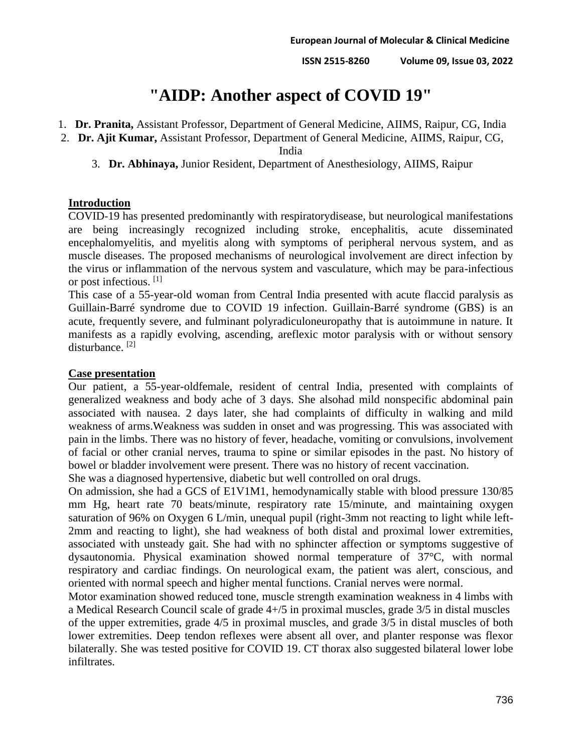**ISSN 2515-8260 Volume 09, Issue 03, 2022**

# **"AIDP: Another aspect of COVID 19"**

- 1. **Dr. Pranita,** Assistant Professor, Department of General Medicine, AIIMS, Raipur, CG, India
- 2. **Dr. Ajit Kumar,** Assistant Professor, Department of General Medicine, AIIMS, Raipur, CG,

India

3. **Dr. Abhinaya,** Junior Resident, Department of Anesthesiology, AIIMS, Raipur

### **Introduction**

COVID-19 has presented predominantly with respiratorydisease, but neurological manifestations are being increasingly recognized including stroke, encephalitis, acute disseminated encephalomyelitis, and myelitis along with symptoms of peripheral nervous system, and as muscle diseases. The proposed mechanisms of neurological involvement are direct infection by the virus or inflammation of the nervous system and vasculature, which may be para-infectious or post infectious. [1]

This case of a 55-year-old woman from Central India presented with acute flaccid paralysis as Guillain-Barré syndrome due to COVID 19 infection. Guillain-Barré syndrome (GBS) is an acute, frequently severe, and fulminant polyradiculoneuropathy that is autoimmune in nature. It manifests as a rapidly evolving, ascending, areflexic motor paralysis with or without sensory disturbance.<sup>[2]</sup>

#### **Case presentation**

Our patient, a 55-year-oldfemale, resident of central India, presented with complaints of generalized weakness and body ache of 3 days. She alsohad mild nonspecific abdominal pain associated with nausea. 2 days later, she had complaints of difficulty in walking and mild weakness of arms.Weakness was sudden in onset and was progressing. This was associated with pain in the limbs. There was no history of fever, headache, vomiting or convulsions, involvement of facial or other cranial nerves, trauma to spine or similar episodes in the past. No history of bowel or bladder involvement were present. There was no history of recent vaccination.

She was a diagnosed hypertensive, diabetic but well controlled on oral drugs.

On admission, she had a GCS of E1V1M1, hemodynamically stable with blood pressure 130/85 mm Hg, heart rate 70 beats/minute, respiratory rate 15/minute, and maintaining oxygen saturation of 96% on Oxygen 6 L/min, unequal pupil (right-3mm not reacting to light while left-2mm and reacting to light), she had weakness of both distal and proximal lower extremities, associated with unsteady gait. She had with no sphincter affection or symptoms suggestive of dysautonomia. Physical examination showed normal temperature of 37°C, with normal respiratory and cardiac findings. On neurological exam, the patient was alert, conscious, and oriented with normal speech and higher mental functions. Cranial nerves were normal.

Motor examination showed reduced tone, muscle strength examination weakness in 4 limbs with a Medical Research Council scale of grade 4+/5 in proximal muscles, grade 3/5 in distal muscles of the upper extremities, grade 4/5 in proximal muscles, and grade 3/5 in distal muscles of both lower extremities. Deep tendon reflexes were absent all over, and planter response was flexor bilaterally. She was tested positive for COVID 19. CT thorax also suggested bilateral lower lobe infiltrates.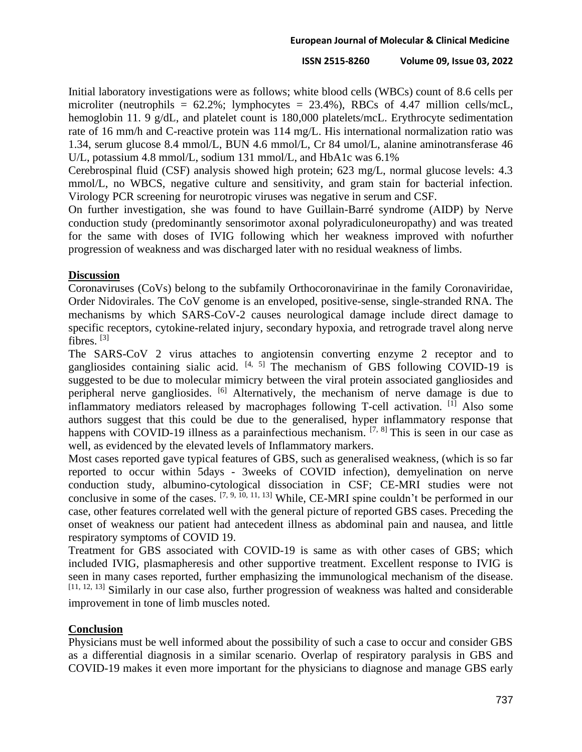#### **ISSN 2515-8260 Volume 09, Issue 03, 2022**

Initial laboratory investigations were as follows; white blood cells (WBCs) count of 8.6 cells per microliter (neutrophils =  $62.2\%$ ; lymphocytes =  $23.4\%$ ), RBCs of 4.47 million cells/mcL, hemoglobin 11. 9 g/dL, and platelet count is 180,000 platelets/mcL. Erythrocyte sedimentation rate of 16 mm/h and C-reactive protein was 114 mg/L. His international normalization ratio was 1.34, serum glucose 8.4 mmol/L, BUN 4.6 mmol/L, Cr 84 umol/L, alanine aminotransferase 46 U/L, potassium 4.8 mmol/L, sodium 131 mmol/L, and HbA1c was 6.1%

Cerebrospinal fluid (CSF) analysis showed high protein; 623 mg/L, normal glucose levels: 4.3 mmol/L, no WBCS, negative culture and sensitivity, and gram stain for bacterial infection. Virology PCR screening for neurotropic viruses was negative in serum and CSF.

On further investigation, she was found to have Guillain-Barré syndrome (AIDP) by Nerve conduction study (predominantly sensorimotor axonal polyradiculoneuropathy) and was treated for the same with doses of IVIG following which her weakness improved with nofurther progression of weakness and was discharged later with no residual weakness of limbs.

## **Discussion**

Coronaviruses (CoVs) belong to the subfamily Orthocoronavirinae in the family Coronaviridae, Order Nidovirales. The CoV genome is an enveloped, positive-sense, single-stranded RNA. The mechanisms by which SARS-CoV-2 causes neurological damage include direct damage to specific receptors, cytokine-related injury, secondary hypoxia, and retrograde travel along nerve fibres. [3]

The SARS-CoV 2 virus attaches to angiotensin converting enzyme 2 receptor and to gangliosides containing sialic acid.  $[4, 5]$  The mechanism of GBS following COVID-19 is suggested to be due to molecular mimicry between the viral protein associated gangliosides and peripheral nerve gangliosides. [6] Alternatively, the mechanism of nerve damage is due to inflammatory mediators released by macrophages following T-cell activation. <sup>[1]</sup> Also some authors suggest that this could be due to the generalised, hyper inflammatory response that happens with COVID-19 illness as a parainfectious mechanism.  $[7, 8]$  This is seen in our case as well, as evidenced by the elevated levels of Inflammatory markers.

Most cases reported gave typical features of GBS, such as generalised weakness, (which is so far reported to occur within 5days - 3weeks of COVID infection), demyelination on nerve conduction study, albumino-cytological dissociation in CSF; CE-MRI studies were not conclusive in some of the cases. [7, 9, 10, 11, 13] While, CE-MRI spine couldn't be performed in our case, other features correlated well with the general picture of reported GBS cases. Preceding the onset of weakness our patient had antecedent illness as abdominal pain and nausea, and little respiratory symptoms of COVID 19.

Treatment for GBS associated with COVID-19 is same as with other cases of GBS; which included IVIG, plasmapheresis and other supportive treatment. Excellent response to IVIG is seen in many cases reported, further emphasizing the immunological mechanism of the disease. [11, 12, 13] Similarly in our case also, further progression of weakness was halted and considerable improvement in tone of limb muscles noted.

# **Conclusion**

Physicians must be well informed about the possibility of such a case to occur and consider GBS as a differential diagnosis in a similar scenario. Overlap of respiratory paralysis in GBS and COVID-19 makes it even more important for the physicians to diagnose and manage GBS early